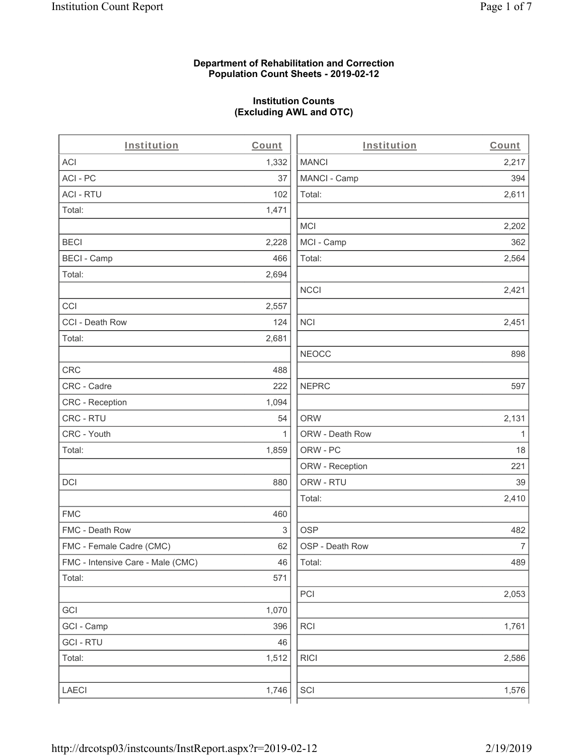#### **Department of Rehabilitation and Correction Population Count Sheets - 2019-02-12**

# **Institution Counts (Excluding AWL and OTC)**

. .

| Institution                       | Count        | Institution     | Count        |
|-----------------------------------|--------------|-----------------|--------------|
| ACI                               | 1,332        | <b>MANCI</b>    | 2,217        |
| ACI-PC                            | 37           | MANCI - Camp    | 394          |
| <b>ACI - RTU</b>                  | 102          | Total:          | 2,611        |
| Total:                            | 1,471        |                 |              |
|                                   |              | <b>MCI</b>      | 2,202        |
| <b>BECI</b>                       | 2,228        | MCI - Camp      | 362          |
| <b>BECI - Camp</b>                | 466          | Total:          | 2,564        |
| Total:                            | 2,694        |                 |              |
|                                   |              | <b>NCCI</b>     | 2,421        |
| CCI                               | 2,557        |                 |              |
| CCI - Death Row                   | 124          | $\sf NCI$       | 2,451        |
| Total:                            | 2,681        |                 |              |
|                                   |              | <b>NEOCC</b>    | 898          |
| <b>CRC</b>                        | 488          |                 |              |
| CRC - Cadre                       | 222          | <b>NEPRC</b>    | 597          |
| CRC - Reception                   | 1,094        |                 |              |
| CRC - RTU                         | 54           | <b>ORW</b>      | 2,131        |
| CRC - Youth                       | $\mathbf{1}$ | ORW - Death Row | $\mathbf{1}$ |
| Total:                            | 1,859        | ORW - PC        | 18           |
|                                   |              | ORW - Reception | 221          |
| DCI                               | 880          | ORW - RTU       | 39           |
|                                   |              | Total:          | 2,410        |
| <b>FMC</b>                        | 460          |                 |              |
| FMC - Death Row                   | 3            | <b>OSP</b>      | 482          |
| FMC - Female Cadre (CMC)          | 62           | OSP - Death Row | 7            |
| FMC - Intensive Care - Male (CMC) | 46           | Total:          | 489          |
| Total:                            | 571          |                 |              |
|                                   |              | PCI             | 2,053        |
| GCI                               | 1,070        |                 |              |
| GCI - Camp                        | 396          | RCI             | 1,761        |
| <b>GCI - RTU</b>                  | 46           |                 |              |
| Total:                            | 1,512        | <b>RICI</b>     | 2,586        |
|                                   |              |                 |              |
| LAECI                             | 1,746        | SCI             | 1,576        |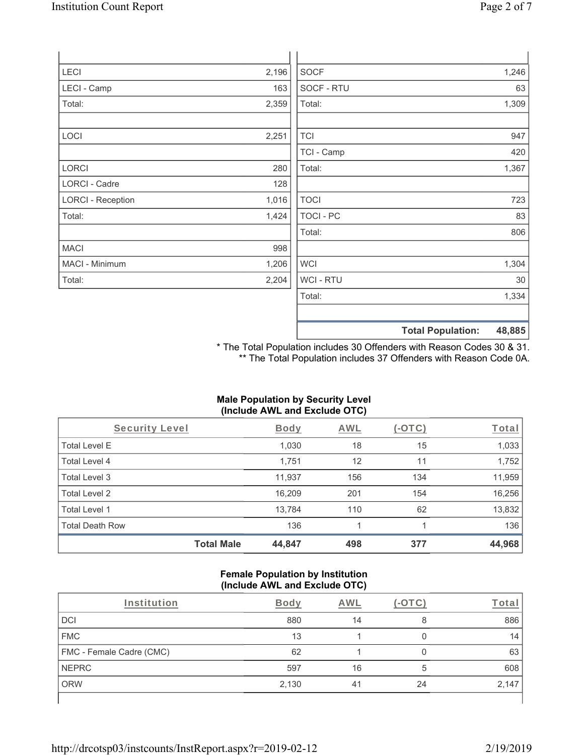| LECI                     | 2,196 | <b>SOCF</b>      | 1,246 |
|--------------------------|-------|------------------|-------|
| LECI - Camp              | 163   | SOCF - RTU       | 63    |
| Total:                   | 2,359 | Total:           | 1,309 |
| LOCI                     | 2,251 | <b>TCI</b>       | 947   |
|                          |       | TCI - Camp       | 420   |
| LORCI                    | 280   | Total:           | 1,367 |
| LORCI - Cadre            | 128   |                  |       |
| <b>LORCI - Reception</b> | 1,016 | <b>TOCI</b>      | 723   |
| Total:                   | 1,424 | <b>TOCI - PC</b> | 83    |
|                          |       | Total:           | 806   |
| <b>MACI</b>              | 998   |                  |       |
| MACI - Minimum           | 1,206 | <b>WCI</b>       | 1,304 |
| Total:                   | 2,204 | <b>WCI-RTU</b>   | 30    |

**Total Population: 48,885** \* The Total Population includes 30 Offenders with Reason Codes 30 & 31.

Total: 1,334

\*\* The Total Population includes 37 Offenders with Reason Code 0A.

## **Male Population by Security Level (Include AWL and Exclude OTC)**

| Security Level         |                   | <b>Body</b> | AWL | $(-OTC)$ | Total  |
|------------------------|-------------------|-------------|-----|----------|--------|
| <b>Total Level E</b>   |                   | 1,030       | 18  | 15       | 1,033  |
| <b>Total Level 4</b>   |                   | 1,751       | 12  | 11       | 1,752  |
| Total Level 3          |                   | 11,937      | 156 | 134      | 11,959 |
| Total Level 2          |                   | 16,209      | 201 | 154      | 16,256 |
| Total Level 1          |                   | 13,784      | 110 | 62       | 13,832 |
| <b>Total Death Row</b> |                   | 136         |     |          | 136    |
|                        | <b>Total Male</b> | 44,847      | 498 | 377      | 44,968 |

#### **Female Population by Institution (Include AWL and Exclude OTC)**

| Institution              | <b>Body</b> | AWL |    | <u><sup>r</sup>ota</u> i |
|--------------------------|-------------|-----|----|--------------------------|
| DCI                      | 880         | 14  | 8  | 886                      |
| <b>FMC</b>               | 13          |     |    | 14                       |
| FMC - Female Cadre (CMC) | 62          |     | 0  | 63                       |
| <b>NEPRC</b>             | 597         | 16  | 5  | 608                      |
| <b>ORW</b>               | 2,130       | 41  | 24 | 2,147                    |
|                          |             |     |    |                          |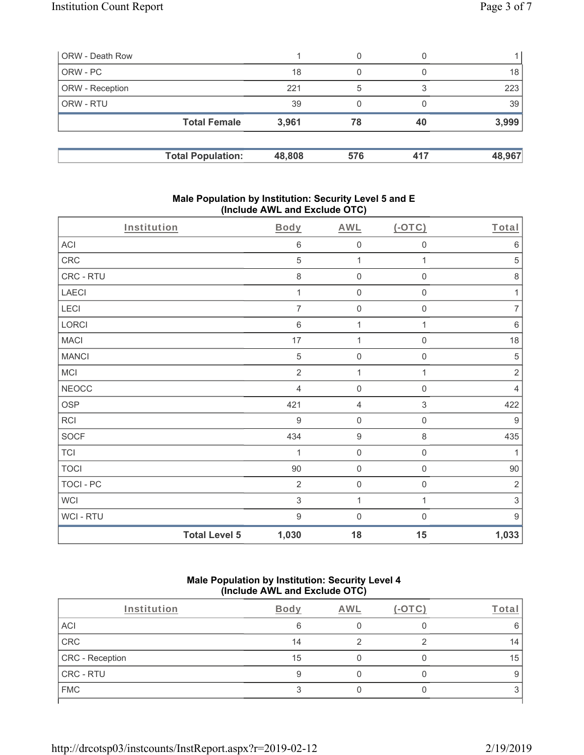| ORW - Death Row        |                          |        | 0   | $\left( \right)$ |        |
|------------------------|--------------------------|--------|-----|------------------|--------|
| ORW - PC               |                          | 18     | 0   |                  | 18     |
| <b>ORW</b> - Reception |                          | 221    | 5   | 3                | 223    |
| <b>ORW - RTU</b>       |                          | 39     | 0   |                  | 39     |
|                        | <b>Total Female</b>      | 3,961  | 78  | 40               | 3,999  |
|                        | <b>Total Population:</b> | 48,808 | 576 | 417              | 48,967 |

#### **Male Population by Institution: Security Level 5 and E (Include AWL and Exclude OTC)**

| Institution      |                      | <b>Body</b>    | <b>AWL</b>          | (OTC)               | Total            |
|------------------|----------------------|----------------|---------------------|---------------------|------------------|
| ACI              |                      | $\,6$          | $\mathbf 0$         | 0                   | $\,6\,$          |
| CRC              |                      | $\sqrt{5}$     | $\mathbf{1}$        | 1                   | $\,$ 5 $\,$      |
| CRC - RTU        |                      | $\,8\,$        | $\mathbf 0$         | $\mathsf{O}\xspace$ | $\,8\,$          |
| LAECI            |                      | 1              | $\mathbf 0$         | 0                   | 1                |
| LECI             |                      | 7              | $\mathbf 0$         | 0                   | 7                |
| LORCI            |                      | $6\,$          | $\mathbf{1}$        | $\mathbf{1}$        | $\,6\,$          |
| <b>MACI</b>      |                      | 17             | $\mathbf{1}$        | 0                   | 18               |
| <b>MANCI</b>     |                      | $\,$ 5 $\,$    | $\mathbf 0$         | $\mathbf 0$         | $\sqrt{5}$       |
| MCI              |                      | $\overline{2}$ | 1                   | 1                   | $\sqrt{2}$       |
| <b>NEOCC</b>     |                      | $\overline{4}$ | $\mathbf 0$         | 0                   | 4                |
| <b>OSP</b>       |                      | 421            | $\overline{4}$      | $\,$ 3 $\,$         | 422              |
| <b>RCI</b>       |                      | $9$            | $\mathbf 0$         | $\mathsf{O}\xspace$ | $\boldsymbol{9}$ |
| SOCF             |                      | 434            | $\boldsymbol{9}$    | 8                   | 435              |
| <b>TCI</b>       |                      | 1              | $\mathsf{O}\xspace$ | $\mathsf{O}\xspace$ | 1                |
| <b>TOCI</b>      |                      | 90             | $\mathsf{O}\xspace$ | $\mathsf{O}\xspace$ | $90\,$           |
| <b>TOCI - PC</b> |                      | $\overline{2}$ | $\mathbf 0$         | $\mathsf 0$         | $\sqrt{2}$       |
| WCI              |                      | $\sqrt{3}$     | $\mathbf{1}$        | 1                   | 3                |
| WCI - RTU        |                      | $9\,$          | $\mathbf 0$         | $\mathbf 0$         | $9\,$            |
|                  | <b>Total Level 5</b> | 1,030          | 18                  | 15                  | 1,033            |

#### **Male Population by Institution: Security Level 4 (Include AWL and Exclude OTC)**

| Institution     | Body | AWL | Tota |
|-----------------|------|-----|------|
| ACI             | 6    |     |      |
| CRC             | 14   |     | 14   |
| CRC - Reception | 15   |     | 15   |
| CRC - RTU       |      |     |      |
| <b>FMC</b>      |      |     |      |
|                 |      |     |      |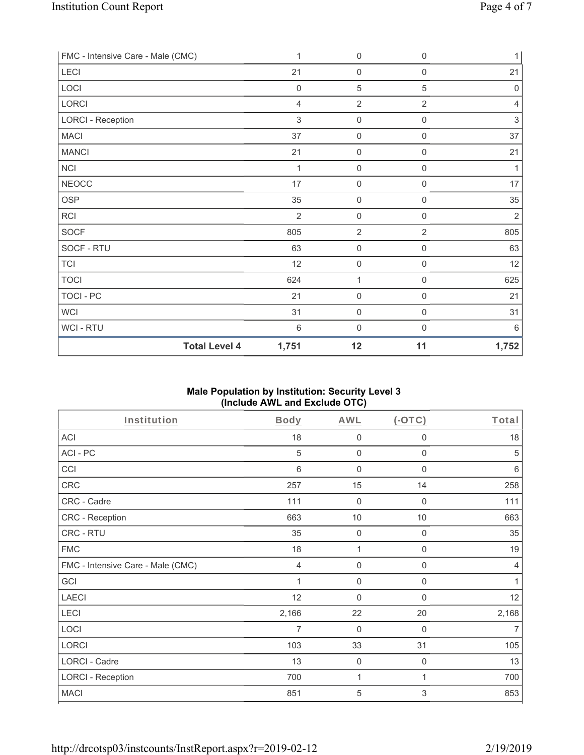| FMC - Intensive Care - Male (CMC) | 1              | 0                   | $\mathbf 0$    | 1     |
|-----------------------------------|----------------|---------------------|----------------|-------|
| LECI                              | 21             | $\boldsymbol{0}$    | 0              | 21    |
| LOCI                              | $\mathbf 0$    | $\sqrt{5}$          | 5              | 0     |
| LORCI                             | $\overline{4}$ | $\overline{2}$      | $\overline{2}$ | 4     |
| <b>LORCI - Reception</b>          | $\mathfrak{Z}$ | $\mathbf 0$         | $\mathbf 0$    | 3     |
| <b>MACI</b>                       | 37             | $\mathsf{O}\xspace$ | $\mathbf 0$    | 37    |
| <b>MANCI</b>                      | 21             | $\boldsymbol{0}$    | $\mathbf 0$    | 21    |
| <b>NCI</b>                        | 1              | $\boldsymbol{0}$    | $\mathbf 0$    | 1     |
| <b>NEOCC</b>                      | 17             | 0                   | $\mathbf 0$    | 17    |
| <b>OSP</b>                        | 35             | $\mathsf{O}\xspace$ | 0              | 35    |
| <b>RCI</b>                        | $\overline{2}$ | $\boldsymbol{0}$    | $\mathbf 0$    | 2     |
| <b>SOCF</b>                       | 805            | $\overline{2}$      | $\overline{2}$ | 805   |
| SOCF - RTU                        | 63             | $\mathbf 0$         | $\mathbf 0$    | 63    |
| <b>TCI</b>                        | 12             | $\mathbf 0$         | $\mathbf 0$    | 12    |
| <b>TOCI</b>                       | 624            | 1                   | $\mathbf 0$    | 625   |
| TOCI - PC                         | 21             | $\mathbf 0$         | $\mathbf 0$    | 21    |
| WCI                               | 31             | $\boldsymbol{0}$    | $\mathbf 0$    | 31    |
| <b>WCI-RTU</b>                    | 6              | $\mathbf 0$         | 0              | 6     |
| <b>Total Level 4</b>              | 1,751          | 12                  | 11             | 1,752 |

# **Male Population by Institution: Security Level 3 (Include AWL and Exclude OTC)**

| Institution                       | Body  | AWL              | $(-OTC)$         | Total          |
|-----------------------------------|-------|------------------|------------------|----------------|
| <b>ACI</b>                        | 18    | $\boldsymbol{0}$ | $\boldsymbol{0}$ | 18             |
| ACI-PC                            | 5     | $\mathbf 0$      | $\mathbf 0$      | $\sqrt{5}$     |
| CCI                               | 6     | 0                | $\mathbf 0$      | 6              |
| CRC                               | 257   | 15               | 14               | 258            |
| CRC - Cadre                       | 111   | $\mathbf 0$      | $\mathbf 0$      | 111            |
| CRC - Reception                   | 663   | 10               | 10               | 663            |
| CRC - RTU                         | 35    | $\boldsymbol{0}$ | 0                | 35             |
| <b>FMC</b>                        | 18    | 1                | 0                | 19             |
| FMC - Intensive Care - Male (CMC) | 4     | $\mathbf 0$      | 0                | $\overline{4}$ |
| GCI                               |       | $\boldsymbol{0}$ | $\boldsymbol{0}$ | 1              |
| <b>LAECI</b>                      | 12    | 0                | $\mathbf 0$      | 12             |
| LECI                              | 2,166 | 22               | 20               | 2,168          |
| LOCI                              | 7     | $\mathbf 0$      | 0                | $\overline{7}$ |
| <b>LORCI</b>                      | 103   | 33               | 31               | 105            |
| LORCI - Cadre                     | 13    | $\mathbf 0$      | $\mathbf 0$      | 13             |
| <b>LORCI - Reception</b>          | 700   | 1                |                  | 700            |
| <b>MACI</b>                       | 851   | 5                | 3                | 853            |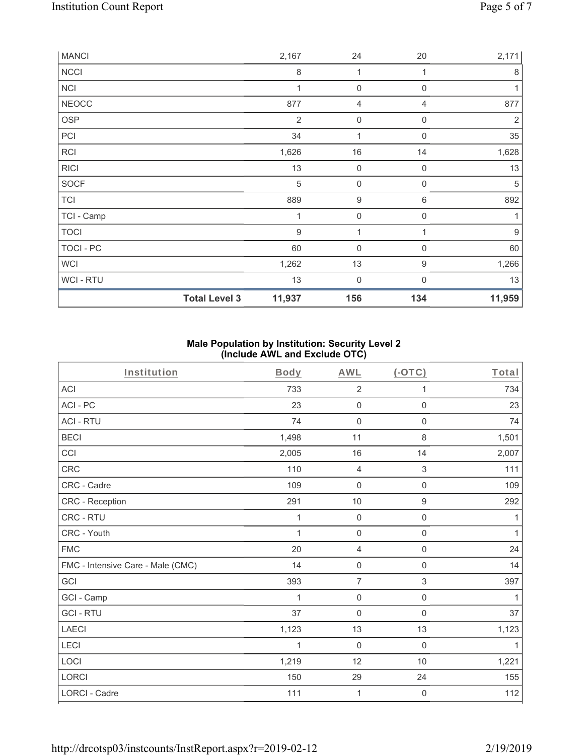| <b>MANCI</b> |                      | 2,167          | 24               | 20               | 2,171  |
|--------------|----------------------|----------------|------------------|------------------|--------|
| <b>NCCI</b>  |                      | $\,8\,$        | 1                | 1                | 8      |
| <b>NCI</b>   |                      | 1              | $\mathbf 0$      | $\mathbf 0$      | 1      |
| <b>NEOCC</b> |                      | 877            | 4                | 4                | 877    |
| <b>OSP</b>   |                      | $\overline{2}$ | 0                | 0                | 2      |
| PCI          |                      | 34             | 1                | $\Omega$         | 35     |
| RCI          |                      | 1,626          | 16               | 14               | 1,628  |
| <b>RICI</b>  |                      | 13             | $\mathbf 0$      | $\mathbf 0$      | 13     |
| <b>SOCF</b>  |                      | 5              | $\mathbf 0$      | $\Omega$         | 5      |
| <b>TCI</b>   |                      | 889            | 9                | 6                | 892    |
| TCI - Camp   |                      | 1              | $\mathbf 0$      | $\mathbf 0$      | 1      |
| <b>TOCI</b>  |                      | 9              | $\mathbf 1$      |                  | 9      |
| TOCI - PC    |                      | 60             | $\boldsymbol{0}$ | 0                | 60     |
| <b>WCI</b>   |                      | 1,262          | 13               | $\boldsymbol{9}$ | 1,266  |
| WCI - RTU    |                      | 13             | $\mathbf 0$      | $\Omega$         | 13     |
|              | <b>Total Level 3</b> | 11,937         | 156              | 134              | 11,959 |

## **Male Population by Institution: Security Level 2 (Include AWL and Exclude OTC)**

| Institution                       | <b>Body</b>  | <b>AWL</b>          | $(-OTC)$                  | Total        |
|-----------------------------------|--------------|---------------------|---------------------------|--------------|
| <b>ACI</b>                        | 733          | $\overline{2}$      | 1                         | 734          |
| ACI-PC                            | 23           | $\mathbf 0$         | $\mathbf 0$               | 23           |
| <b>ACI - RTU</b>                  | 74           | $\boldsymbol{0}$    | $\mathsf{O}\xspace$       | 74           |
| <b>BECI</b>                       | 1,498        | 11                  | $\,8\,$                   | 1,501        |
| CCI                               | 2,005        | 16                  | 14                        | 2,007        |
| CRC                               | 110          | $\overline{4}$      | $\ensuremath{\mathsf{3}}$ | 111          |
| CRC - Cadre                       | 109          | $\mathbf 0$         | $\boldsymbol{0}$          | 109          |
| CRC - Reception                   | 291          | $10$                | $\boldsymbol{9}$          | 292          |
| CRC - RTU                         | 1            | $\mathbf 0$         | $\mathsf{O}\xspace$       | 1            |
| CRC - Youth                       | $\mathbf{1}$ | $\mathbf 0$         | $\mathsf{O}\xspace$       | $\mathbf{1}$ |
| <b>FMC</b>                        | 20           | $\overline{4}$      | $\mathsf 0$               | 24           |
| FMC - Intensive Care - Male (CMC) | 14           | $\mathsf{O}\xspace$ | $\mathbf 0$               | 14           |
| GCI                               | 393          | $\overline{7}$      | 3                         | 397          |
| GCI - Camp                        | $\mathbf{1}$ | $\mathbf 0$         | $\mathbf 0$               | 1            |
| <b>GCI-RTU</b>                    | 37           | $\mathbf 0$         | $\mathsf{O}\xspace$       | 37           |
| LAECI                             | 1,123        | 13                  | 13                        | 1,123        |
| LECI                              | 1            | $\mathbf 0$         | $\mathsf{O}\xspace$       | 1            |
| LOCI                              | 1,219        | 12                  | 10                        | 1,221        |
| LORCI                             | 150          | 29                  | 24                        | 155          |
| <b>LORCI - Cadre</b>              | 111          | 1                   | $\boldsymbol{0}$          | 112          |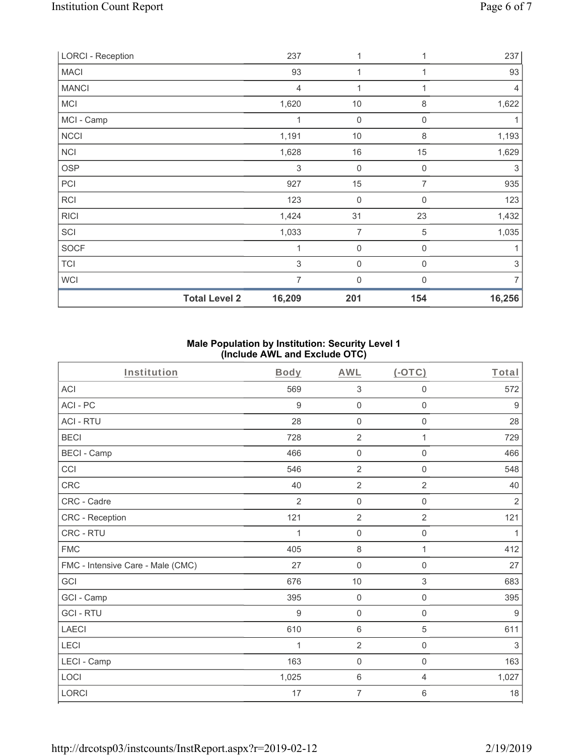| <b>LORCI - Reception</b> |                      | 237                       | 1           |                | 237                       |
|--------------------------|----------------------|---------------------------|-------------|----------------|---------------------------|
| <b>MACI</b>              |                      | 93                        | 1           | 1              | 93                        |
| <b>MANCI</b>             |                      | $\overline{4}$            | 1           |                | $\overline{4}$            |
| <b>MCI</b>               |                      | 1,620                     | 10          | 8              | 1,622                     |
| MCI - Camp               |                      | 1                         | $\mathbf 0$ | 0              | 1                         |
| NCCI                     |                      | 1,191                     | 10          | 8              | 1,193                     |
| <b>NCI</b>               |                      | 1,628                     | 16          | 15             | 1,629                     |
| <b>OSP</b>               |                      | $\ensuremath{\mathsf{3}}$ | $\mathbf 0$ | 0              | 3                         |
| PCI                      |                      | 927                       | 15          | $\overline{7}$ | 935                       |
| RCI                      |                      | 123                       | 0           | 0              | 123                       |
| <b>RICI</b>              |                      | 1,424                     | 31          | 23             | 1,432                     |
| SCI                      |                      | 1,033                     | 7           | 5              | 1,035                     |
| <b>SOCF</b>              |                      |                           | 0           | $\mathbf 0$    | 1                         |
| <b>TCI</b>               |                      | 3                         | 0           | $\mathbf 0$    | $\ensuremath{\mathsf{3}}$ |
| <b>WCI</b>               |                      | $\overline{7}$            | $\mathbf 0$ | $\Omega$       | $\overline{7}$            |
|                          | <b>Total Level 2</b> | 16,209                    | 201         | 154            | 16,256                    |

## **Male Population by Institution: Security Level 1 (Include AWL and Exclude OTC)**

| Institution                       | <b>Body</b>      | <b>AWL</b>          | $($ -OTC $)$        | Total            |
|-----------------------------------|------------------|---------------------|---------------------|------------------|
| ACI                               | 569              | $\sqrt{3}$          | $\boldsymbol{0}$    | 572              |
| ACI-PC                            | $\boldsymbol{9}$ | $\mathsf{O}\xspace$ | $\mathsf{O}\xspace$ | $\boldsymbol{9}$ |
| <b>ACI - RTU</b>                  | 28               | $\mathsf{O}\xspace$ | $\mathsf 0$         | 28               |
| <b>BECI</b>                       | 728              | $\overline{2}$      | 1                   | 729              |
| <b>BECI - Camp</b>                | 466              | $\mathbf 0$         | $\mathsf{O}\xspace$ | 466              |
| CCI                               | 546              | $\overline{2}$      | $\mathsf 0$         | 548              |
| CRC                               | 40               | $\overline{2}$      | $\overline{2}$      | 40               |
| CRC - Cadre                       | $\overline{2}$   | 0                   | $\mathsf{O}\xspace$ | $\overline{2}$   |
| CRC - Reception                   | 121              | $\overline{2}$      | $\overline{2}$      | 121              |
| CRC - RTU                         | 1                | $\mathbf 0$         | $\mathsf 0$         | $\mathbf{1}$     |
| <b>FMC</b>                        | 405              | $\,8\,$             | 1                   | 412              |
| FMC - Intensive Care - Male (CMC) | 27               | 0                   | 0                   | 27               |
| GCI                               | 676              | 10                  | 3                   | 683              |
| GCI - Camp                        | 395              | $\mathbf 0$         | $\mathsf 0$         | 395              |
| <b>GCI-RTU</b>                    | $\boldsymbol{9}$ | $\mathbf 0$         | $\mathsf{O}\xspace$ | $\boldsymbol{9}$ |
| <b>LAECI</b>                      | 610              | $\,6\,$             | 5                   | 611              |
| LECI                              | 1                | $\overline{2}$      | $\mathsf 0$         | 3                |
| LECI - Camp                       | 163              | $\mathbf 0$         | $\mathbf 0$         | 163              |
| LOCI                              | 1,025            | $\,6\,$             | $\overline{4}$      | 1,027            |
| LORCI                             | 17               | $\overline{7}$      | 6                   | 18               |